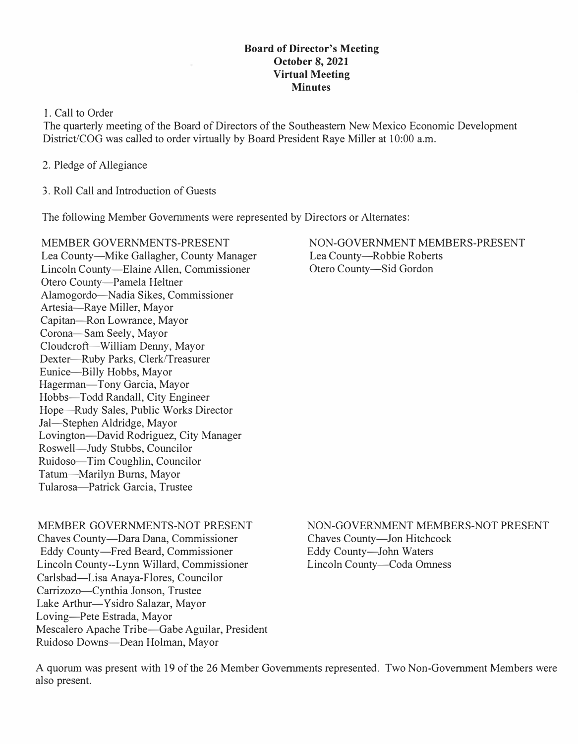#### **Board of Director's Meeting October 8, 2021 Virtual Meeting Minutes**

1. Call to Order

The quarterly meeting of the Board of Directors of the Southeastern New Mexico Economic Development District/COG was called to order virtually by Board President Raye Miller at 10:00 a.m.

- 2. Pledge of Allegiance
- 3. Roll Call and Introduction of Guests

The following Member Governments were represented by Directors or Alternates:

MEMBER GOVERNMENTS-PRESENT Lea County-Mike Gallagher, County Manager Lincoln County-Elaine Allen, Commissioner Otero County-Pamela Heltner Alamogordo-Nadia Sikes, Commissioner Artesia-Raye Miller, Mayor Capitan-Ron Lowrance, Mayor Corona-Sam Seely, Mayor Cloudcroft-William Denny, Mayor Dexter-Ruby Parks, Clerk/Treasurer Eunice-Billy Hobbs, Mayor Hagerman-Tony Garcia, Mayor Hobbs-Todd Randall, City Engineer Hope-Rudy Sales, Public Works Director Jal-Stephen Aldridge, Mayor Lovington-David Rodriguez, City Manager Roswell-Judy Stubbs, Councilor Ruidoso-Tim Coughlin, Councilor Tatum-Marilyn Burns, Mayor Tularosa-Patrick Garcia, Trustee

NON-GOVERNMENT MEMBERS-PRESENT Lea County—Robbie Roberts Otero County-Sid Gordon

## MEMBER GOVERNMENTS-NOT PRESENT

Chaves County-Dara Dana, Commissioner Eddy County-Fred Beard, Commissioner Lincoln County--Lynn Willard, Commissioner Carlsbad-Lisa Anaya-Flores, Councilor Carrizozo-Cynthia Jonson, Trustee Lake Arthur-Ysidro Salazar, Mayor Loving-Pete Estrada, Mayor Mescalero Apache Tribe-Gabe Aguilar, President Ruidoso Downs-Dean Holman, Mayor

# NON-GOVERNMENT MEMBERS-NOT PRESENT

Chaves County-Jon Hitchcock Eddy County-John Waters Lincoln County-Coda Omness

A quorum was present with 19 of the 26 Member Governments represented. Two Non-Government Members were also present.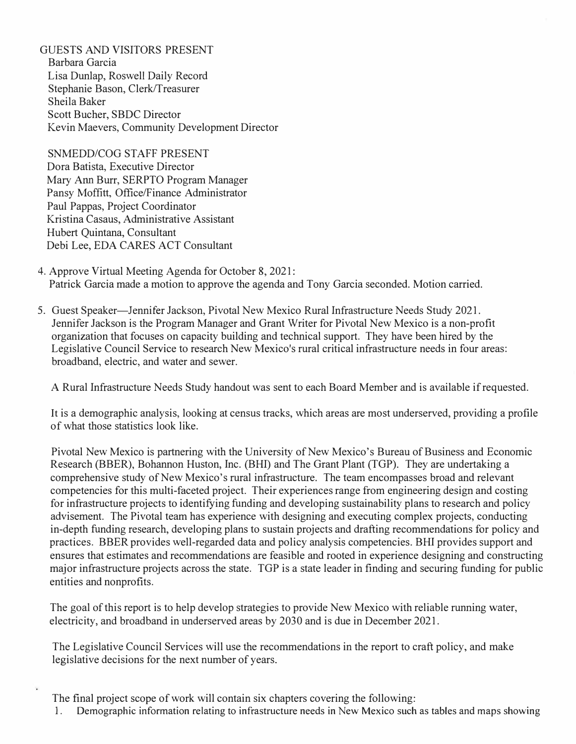GUESTS AND VISITORS PRESENT Barbara Garcia Lisa Dunlap, Roswell Daily Record Stephanie Bason, Clerk/Treasurer Sheila Baker Scott Bucher, SBDC Director Kevin Maevers, Community Development Director

SNMEDD/COG STAFF PRESENT Dora Batista, Executive Director Mary Ann Burr, SERPTO Program Manager Pansy Moffitt, Office/Finance Administrator Paul Pappas, Project Coordinator Kristina Casaus, Administrative Assistant Hubert Quintana, Consultant Debi Lee, EDA CARES ACT Consultant

- 4. Approve Virtual Meeting Agenda for October 8, 2021: Patrick Garcia made a motion to approve the agenda and Tony Garcia seconded. Motion carried.
- 5. Guest Speaker-Jennifer Jackson, Pivotal New Mexico Rural Infrastructure Needs Study 2021. Jennifer Jackson is the Program Manager and Grant Writer for Pivotal New Mexico is a non-profit organization that focuses on capacity building and technical support. They have been hired by the Legislative Council Service to research New Mexico's rural critical infrastructure needs in four areas: broadband, electric, and water and sewer.

A Rural Infrastructure Needs Study handout was sent to each Board Member and is available if requested.

It is a demographic analysis, looking at census tracks, which areas are most underserved, providing a profile of what those statistics look like.

Pivotal New Mexico is partnering with the University of New Mexico's Bureau of Business and Economic Research (BBER), Bohannon Huston, Inc. (BHI) and The Grant Plant (TGP). They are undertaking a comprehensive study of New Mexico's rural infrastructure. The team encompasses broad and relevant competencies for this multi-faceted project. Their experiences range from engineering design and costing for infrastructure projects to identifying funding and developing sustainability plans to research and policy advisement. The Pivotal team has experience with designing and executing complex projects, conducting in-depth funding research, developing plans to sustain projects and drafting recommendations for policy and practices. BBER provides well-regarded data and policy analysis competencies. BHI provides support and ensures that estimates and recommendations are feasible and rooted in experience designing and constructing major infrastructure projects across the state. TGP is a state leader in finding and securing funding for public entities and nonprofits.

The goal of this report is to help develop strategies to provide New Mexico with reliable running water, electricity, and broadband in underserved areas by 2030 and is due in December 2021.

The Legislative Council Services will use the recommendations in the report to craft policy, and make legislative decisions for the next number of years.

The final project scope of work will contain six chapters covering the following:

1. Demographic information relating to infrastructure needs in New Mexico such as tables and maps showing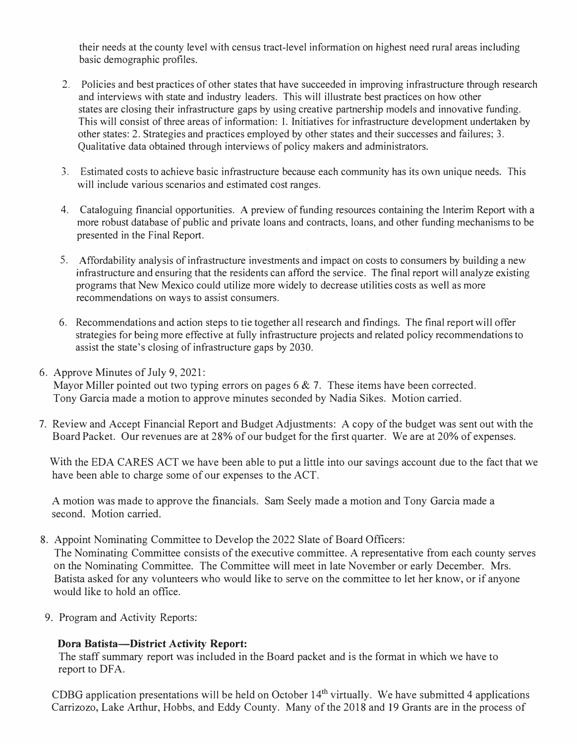their needs at the county level with census tract-level information on highest need rural areas including basic demographic profiles.

- 2. Policies and best practices of other states that have succeeded in improving infrastructure through research and interviews with state and industry leaders. This will illustrate best practices on how other states are closing their infrastructure gaps by using creative partnership models and innovative funding. This will consist of three areas of information: I. Initiatives for infrastructure development undertaken by other states: 2. Strategies and practices employed by other states and their successes and failures; 3. Qualitative data obtained through interviews of policy makers and administrators.
- 3. Estimated costs to achieve basic infrastructure because each community has its own unique needs. This will include various scenarios and estimated cost ranges.
- 4. Cataloguing financial opportunities. A preview of funding resources containing the Interim Report with a more robust database of public and private loans and contracts, loans, and other funding mechanisms to be presented in the Final Report.
- 5. Affordability analysis of infrastructure investments and impact on costs to consumers by building a new infrastructure and ensuring that the residents can afford the service. The final report will analyze existing programs that New Mexico could utilize more widely to decrease utilities costs as well as more recommendations on ways to assist consumers.
- 6. Recommendations and action steps to tie together all research and findings. The final report will offer strategies for being more effective at fully infrastructure projects and related policy recommendations to assist the state's closing of infrastructure gaps by 2030.
- 6. Approve Minutes of July 9, 2021:

Mayor Miller pointed out two typing errors on pages  $6 \& 7$ . These items have been corrected. Tony Garcia made a motion to approve minutes seconded by Nadia Sikes. Motion carried.

7. Review and Accept Financial Report and Budget Adjustments: A copy of the budget was sent out with the Board Packet. Our revenues are at 28% of our budget for the first quarter. We are at 20% of expenses.

With the EDA CARES ACT we have been able to put a little into our savings account due to the fact that we have been able to charge some of our expenses to the ACT.

A motion was made to approve the financials. Sam Seely made a motion and Tony Garcia made a second. Motion carried.

8. Appoint Nominating Committee to Develop the 2022 Slate of Board Officers:

The Nominating Committee consists of the executive committee. A representative from each county serves on the Nominating Committee. The Committee will meet in late November or early December. Mrs. Batista asked for any volunteers who would like to serve on the committee to let her know, or if anyone would like to hold an office.

9. Program and Activity Reports:

### **Dora Batista-District Activity Report:**

The staff summary report was included in the Board packet and is the format in which we have to report to DFA.

CDBG application presentations will be held on October  $14<sup>th</sup>$  virtually. We have submitted 4 applications Carrizozo, Lake Arthur, Hobbs, and Eddy County. Many of the 2018 and 19 Grants are in the process of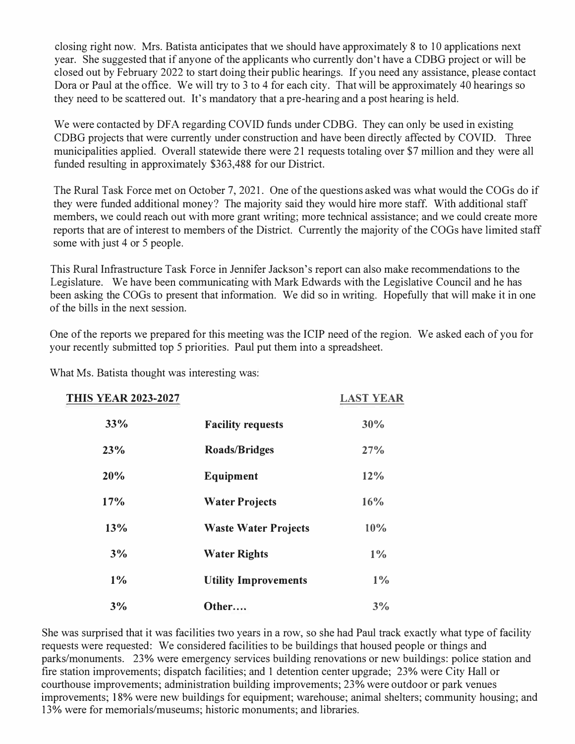closing right now. Mrs. Batista anticipates that we should have approximately 8 to 10 applications next year. She suggested that if anyone of the applicants who currently don't have a CDBG project or will be closed out by February 2022 to start doing their public hearings. If you need any assistance, please contact Dora or Paul at the office. We will try to 3 to 4 for each city. That will be approximately 40 hearings so they need to be scattered out. It's mandatory that a pre-hearing and a post hearing is held.

We were contacted by DFA regarding COVID funds under CDBG. They can only be used in existing CDBG projects that were currently under construction and have been directly affected by COVID. Three municipalities applied. Overall statewide there were 21 requests totaling over \$7 million and they were all funded resulting in approximately \$363,488 for our District.

The Rural Task Force met on October 7, 2021. One of the questions asked was what would the COGs do if they were funded additional money? The majority said they would hire more staff. With additional staff members, we could reach out with more grant writing; more technical assistance; and we could create more reports that are of interest to members of the District. Currently the majority of the COGs have limited staff some with just 4 or 5 people.

This Rural Infrastructure Task Force in Jennifer Jackson's report can also make recommendations to the Legislature. We have been communicating with Mark Edwards with the Legislative Council and he has been asking the COGs to present that information. We did so in writing. Hopefully that will make it in one of the bills in the next session.

One of the reports we prepared for this meeting was the ICIP need of the region. We asked each of you for your recently submitted top 5 priorities. Paul put them into a spreadsheet.

| <b>THIS YEAR 2023-2027</b> |                             | <b>LAST YEAR</b> |
|----------------------------|-----------------------------|------------------|
| 33%                        | <b>Facility requests</b>    | 30%              |
| 23%                        | <b>Roads/Bridges</b>        | 27%              |
| 20%                        | Equipment                   | 12%              |
| 17%                        | <b>Water Projects</b>       | 16%              |
| 13%                        | <b>Waste Water Projects</b> | 10%              |
| 3%                         | <b>Water Rights</b>         | $1\%$            |
| $1\%$                      | <b>Utility Improvements</b> | $1\%$            |
| 3%                         | Other                       | 3%               |

What Ms. Batista thought was interesting was:

She was surprised that it was facilities two years in a row, so she had Paul track exactly what type of facility requests were requested: We considered facilities to be buildings that housed people or things and parks/monuments. 23% were emergency services building renovations or new buildings: police station and fire station improvements; dispatch facilities; and 1 detention center upgrade; 23% were City Hall or courthouse improvements; administration building improvements; 23% were outdoor or park venues improvements; 18% were new buildings for equipment; warehouse; animal shelters; community housing; and 13% were for memorials/museums; historic monuments; and libraries.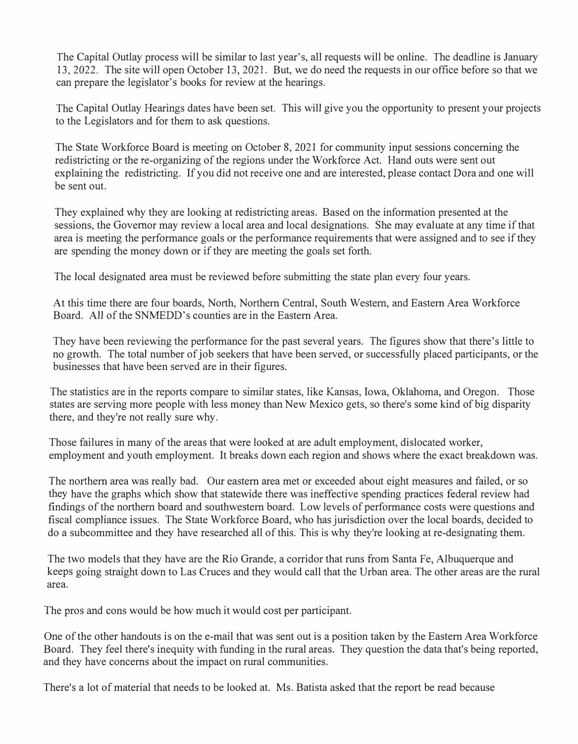The Capital Outlay process will be similar to last year's, all requests will be online. The deadline is January 13, 2022. The site will open October 13, 2021. But, we do need the requests in our office before so that we can prepare the legislator's books for review at the hearings.

The Capital Outlay Hearings dates have been set. This will give you the opportunity to present your projects to the Legislators and for them to ask questions.

The State Workforce Board is meeting on October 8, 2021 for community input sessions concerning the redistricting or the re-organizing of the regions under the Workforce Act. Hand outs were sent out explaining the redistricting. If you did not receive one and are interested, please contact Dora and one will be sent out.

They explained why they are looking at redistricting areas. Based on the information presented at the sessions, the Governor may review a local area and local designations. She may evaluate at any time if that area is meeting the performance goals or the performance requirements that were assigned and to see if they are spending the money down or if they are meeting the goals set forth.

The local designated area must be reviewed before submitting the state plan every four years.

At this time there are four boards, North, Northern Central, South Western, and Eastern Area Workforce Board. All of the SNMEDD's counties are in the Eastern Area.

They have been reviewing the performance for the past several years. The figures show that there's little to no growth. The total number of job seekers that have been served, or successfully placed participants, or the businesses that have been served are in their figures.

The statistics are in the reports compare to similar states, like Kansas, Iowa, Oklahoma, and Oregon. Those states are serving more people with less money than New Mexico gets, so there's some kind of big disparity there, and they're not really sure why.

Those failures in many of the areas that were looked at are adult employment, dislocated worker, employment and youth employment. It breaks down each region and shows where the exact breakdown was.

The northern area was really bad. Our eastern area met or exceeded about eight measures and failed, or so they have the graphs which show that statewide there was ineffective spending practices federal review had findings of the northern board and southwestern board. Low levels of performance costs were questions and fiscal compliance issues. The State Workforce Board, who has jurisdiction over the local boards, decided to do a subcommittee and they have researched all of this. This is why they're looking at re-designating them.

The two models that they have are the Rio Grande, a corridor that runs from Santa Fe, Albuquerque and keeps going straight down to Las Cruces and they would call that the Urban area. The other areas are the rural area.

The pros and cons would be how much it would cost per participant.

One of the other handouts is on the e-mail that was sent out is a position taken by the Eastern Area Workforce Board. They feel there's inequity with funding in the rural areas. They question the data that's being reported, and they have concerns about the impact on rural communities.

There's a lot of material that needs to be looked at. Ms. Batista asked that the report be read because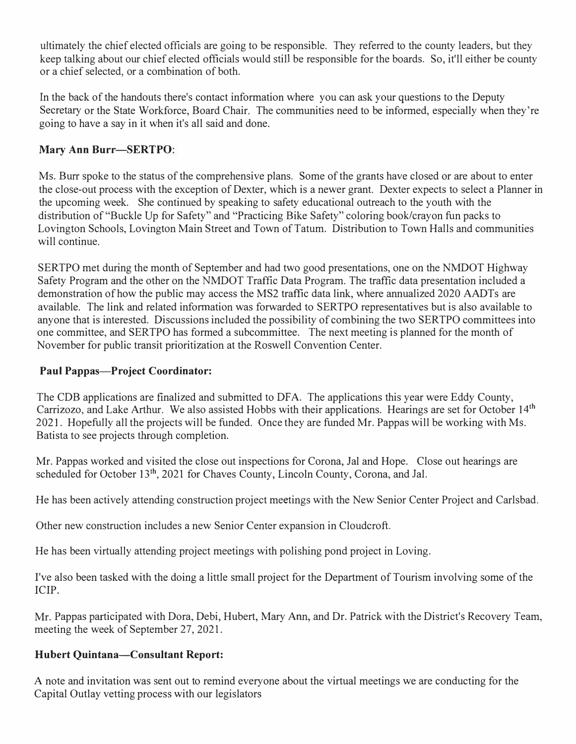ultimately the chief elected officials are going to be responsible. They referred to the county leaders, but they keep talking about our chief elected officials would still be responsible for the boards. So, it'll either be county or a chief selected, or a combination of both.

In the back of the handouts there's contact information where you can ask your questions to the Deputy Secretary or the State Workforce, Board Chair. The communities need to be informed, especially when they're going to have a say in it when it's all said and done.

## **Mary Ann Burr-SERTPO:**

Ms. Burr spoke to the status of the comprehensive plans. Some of the grants have closed or are about to enter the close-out process with the exception of Dexter, which is a newer grant. Dexter expects to select a Planner in the upcoming week. She continued by speaking to safety educational outreach to the youth with the distribution of "Buckle Up for Safety" and "Practicing Bike Safety" coloring book/crayon fun packs to Lovington Schools, Lovington Main Street and Town of Tatum. Distribution to Town Halls and communities will continue.

SER TPO met during the month of September and had two good presentations, one on the NMDOT Highway Safety Program and the other on the NMDOT Traffic Data Program. The traffic data presentation included a demonstration of how the public may access the MS2 traffic data link, where annualized 2020 AADTs are available. The link and related information was forwarded to SERTPO representatives but is also available to anyone that is interested. Discussions included the possibility of combining the two SER TPO committees into one committee, and SER TPO has formed a subcommittee. The next meeting is planned for the month of November for public transit prioritization at the Roswell Convention Center.

## **Paul Pappas-Project Coordinator:**

The CDB applications are finalized and submitted to DFA. The applications this year were Eddy County, Carrizozo, and Lake Arthur. We also assisted Hobbs with their applications. Hearings are set for October 14th 2021. Hopefully all the projects will be funded. Once they are funded Mr. Pappas will be working with Ms. Batista to see projects through completion.

Mr. Pappas worked and visited the close out inspections for Corona, Jal and Hope. Close out hearings are scheduled for October 13<sup>th</sup>, 2021 for Chaves County, Lincoln County, Corona, and Jal.

He has been actively attending construction project meetings with the New Senior Center Project and Carlsbad.

Other new construction includes a new Senior Center expansion in Cloudcroft.

He has been virtually attending project meetings with polishing pond project in Loving.

I've also been tasked with the doing a little small project for the Department of Tourism involving some of the ICIP.

Mr. Pappas participated with Dora, Debi, Hubert, Mary Ann, and Dr. Patrick with the District's Recovery Team, meeting the week of September 27, 2021.

## **Hubert Quintana-Consultant Report:**

A note and invitation was sent out to remind everyone about the virtual meetings we are conducting for the Capital Outlay vetting process with our legislators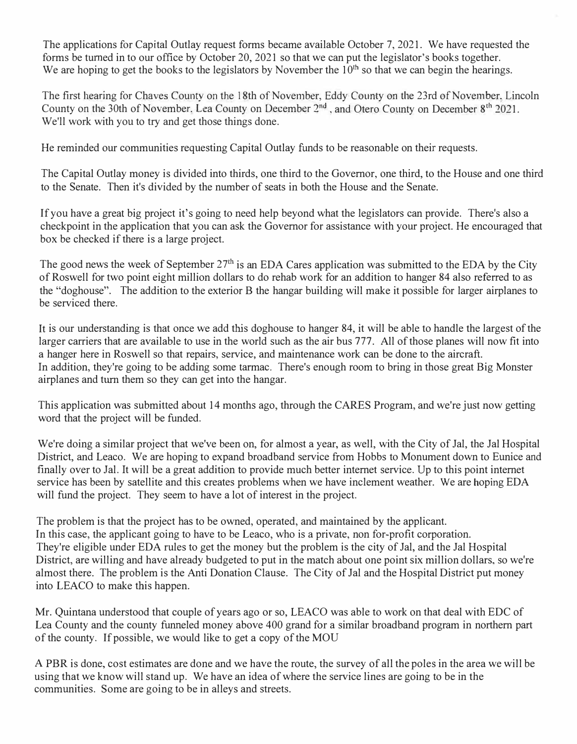The applications for Capital Outlay request forms became available October 7, 2021. We have requested the forms be turned in to our office by October 20, 2021 so that we can put the legislator's books together. We are hoping to get the books to the legislators by November the  $10<sup>th</sup>$  so that we can begin the hearings.

The first hearing for Chaves County on the 18th of November, Eddy County on the 23rd of November. Lincoln County on the 30th of November. Lea County on December  $2<sup>nd</sup>$ , and Otero County on December  $8<sup>th</sup>$  2021. We'll work with you to try and get those things done.

He reminded our communities requesting Capital Outlay funds to be reasonable on their requests.

The Capital Outlay money is divided into thirds, one third to the Governor, one third, to the House and one third to the Senate. Then it's divided by the number of seats in both the House and the Senate.

If you have a great big project it's going to need help beyond what the legislators can provide. There's also a checkpoint in the application that you can ask the Governor for assistance with your project. He encouraged that box be checked if there is a large project.

The good news the week of September  $27<sup>th</sup>$  is an EDA Cares application was submitted to the EDA by the City of Roswell for two point eight million dollars to do rehab work for an addition to hanger 84 also referred to as the "doghouse". The addition to the exterior B the hangar building will make it possible for larger airplanes to be serviced there.

It is our understanding is that once we add this doghouse to hanger 84, it will be able to handle the largest of the larger carriers that are available to use in the world such as the air bus 777. All of those planes will now fit into a hanger here in Roswell so that repairs, service, and maintenance work can be done to the aircraft. In addition, they're going to be adding some tarmac. There's enough room to bring in those great Big Monster airplanes and turn them so they can get into the hangar.

This application was submitted about 14 months ago, through the CARES Program, and we're just now getting word that the project will be funded.

We're doing a similar project that we've been on, for almost a year, as well, with the City of Jal, the Jal Hospital District, and Leaco. We are hoping to expand broadband service from Hobbs to Monument down to Eunice and finally over to Jal. It will be a great addition to provide much better internet service. Up to this point internet service has been by satellite and this creates problems when we have inclement weather. We are hoping EDA will fund the project. They seem to have a lot of interest in the project.

The problem is that the project has to be owned, operated, and maintained by the applicant. In this case, the applicant going to have to be Leaco, who is a private, non for-profit corporation. They're eligible under EDA rules to get the money but the problem is the city of Jal, and the Jal Hospital District, are willing and have already budgeted to put in the match about one point six million dollars, so we're almost there. The problem is the Anti Donation Clause. The City of Jal and the Hospital District put money into LEACO to make this happen.

Mr. Quintana understood that couple of years ago or so, LEACO was able to work on that deal with EDC of Lea County and the county funneled money above 400 grand for a similar broadband program in northern part of the county. If possible, we would like to get a copy of the MOU

A PBR is done, cost estimates are done and we have the route, the survey of all the poles in the area we will be using that we know will stand up. We have an idea of where the service lines are going to be in the communities. Some are going to be in alleys and streets.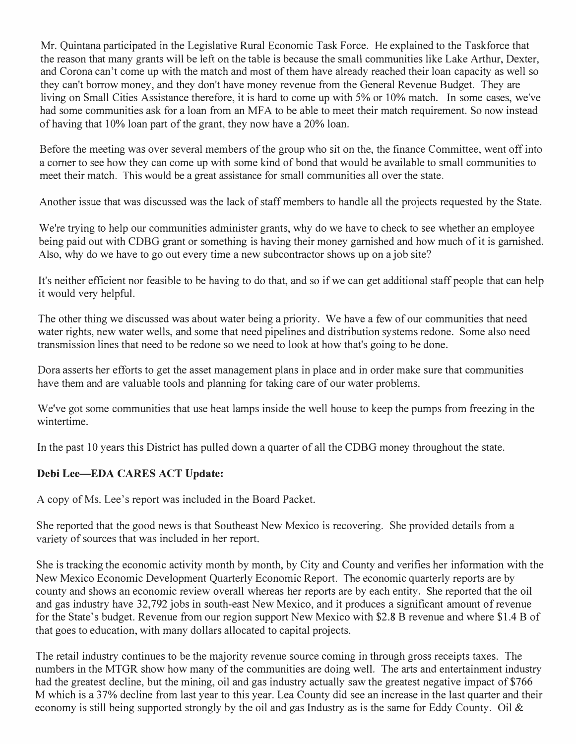Mr. Quintana participated in the Legislative Rural Economic Task Force. He explained to the Taskforce that the reason that many grants will be left on the table is because the small communities like Lake Arthur, Dexter, and Corona can't come up with the match and most of them have already reached their loan capacity as well so they can't borrow money, and they don't have money revenue from the General Revenue Budget. They are living on Small Cities Assistance therefore, it is hard to come up with 5% or 10% match. In some cases, we've had some communities ask for a loan from an MFA to be able to meet their match requirement. So now instead of having that 10% loan part of the grant, they now have a 20% loan.

Before the meeting was over several members of the group who sit on the, the finance Committee, went off into a comer to see how they can come up with some kind of bond that would be available to small communities to meet their match. This would be a great assistance for small communities all over the state.

Another issue that was discussed was the lack of staff members to handle all the projects requested by the State.

We're trying to help our communities administer grants, why do we have to check to see whether an employee being paid out with CDBG grant or something is having their money garnished and how much of it is garnished. Also, why do we have to go out every time a new subcontractor shows up on a job site?

It's neither efficient nor feasible to be having to do that, and so if we can get additional staff people that can help it would very helpful.

The other thing we discussed was about water being a priority. We have a few of our communities that need water rights, new water wells, and some that need pipelines and distribution systems redone. Some also need transmission lines that need to be redone so we need to look at how that's going to be done.

Dora asserts her efforts to get the asset management plans in place and in order make sure that communities have them and are valuable tools and planning for taking care of our water problems.

We've got some communities that use heat lamps inside the well house to keep the pumps from freezing in the wintertime.

In the past 10 years this District has pulled down a quarter of all the CDBG money throughout the state.

### **Debi Lee-EDA CARES ACT Update:**

A copy of Ms. Lee's report was included in the Board Packet.

She reported that the good news is that Southeast New Mexico is recovering. She provided details from a variety of sources that was included in her report.

She is tracking the economic activity month by month, by City and County and verifies her information with the New Mexico Economic Development Quarterly Economic Report. The economic quarterly reports are by county and shows an economic review overall whereas her reports are by each entity. She reported that the oil and gas industry have 32,792 jobs in south-east New Mexico, and it produces a significant amount of revenue for the State's budget. Revenue from our region support New Mexico with \$2.8 B revenue and where \$1.4 B of that goes to education, with many dollars allocated to capital projects.

The retail industry continues to be the majority revenue source coming in through gross receipts taxes. The numbers in the MTGR show how many of the communities are doing well. The arts and entertainment industry had the greatest decline, but the mining, oil and gas industry actually saw the greatest negative impact of \$766 M which is a 3 7% decline from last year to this year. Lea County did see an increase in the last quarter and their economy is still being supported strongly by the oil and gas Industry as is the same for Eddy County. Oil &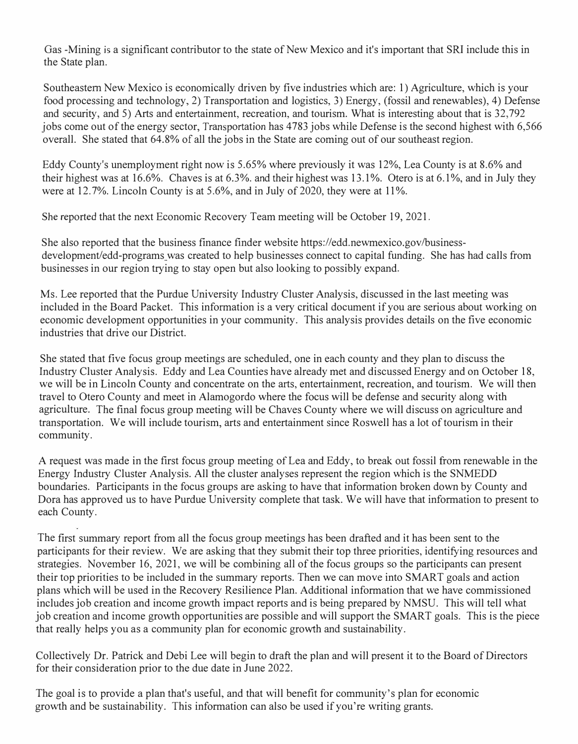Gas -Mining is a significant contributor to the state of New Mexico and it's important that SRl include this in the State plan.

Southeastern New Mexico is economically driven by five industries which are: 1) Agriculture, which is your food processing and technology, 2) Transportation and logistics, 3) Energy, (fossil and renewables), 4) Defense and security, and 5) Arts and entertainment, recreation, and tourism. What is interesting about that is 32,792 jobs come out of the energy sector, Transportation has 4783 jobs while Defense is the second highest with 6,566 overall. She stated that 64.8% of all the jobs in the State are coming out of our southeast region.

Eddy County's unemployment right now is 5.65% where previously it was 12%, Lea County is at 8.6% and their highest was at 16.6%. Chaves is at 6.3%, and their highest was 13.1%. Otero is at 6.1%, and in July they were at 12.7%. Lincoln County is at 5.6%, and in July of 2020, they were at 11%.

She reported that the next Economic Recovery Team meeting will be October 19, 2021.

She also reported that the business finance finder website https://edd.newmexico.gov/businessdevelopment/edd-programs was created to help businesses connect to capital funding. She has had calls from businesses in our region trying to stay open but also looking to possibly expand.

Ms. Lee reported that the Purdue University Industry Cluster Analysis, discussed in the last meeting was included in the Board Packet. This information is a very critical document if you are serious about working on economic development opportunities in your community. This analysis provides details on the five economic industries that drive our District.

She stated that five focus group meetings are scheduled, one in each county and they plan to discuss the Industry Cluster Analysis. Eddy and Lea Counties have already met and discussed Energy and on October 18, we will be in Lincoln County and concentrate on the arts, entertainment, recreation, and tourism. We will then travel to Otero County and meet in Alamogordo where the focus will be defense and security along with agriculture. The final focus group meeting will be Chaves County where we will discuss on agriculture and transportation. We will include tourism, arts and entertainment since Roswell has a lot of tourism in their community.

A request was made in the first focus group meeting of Lea and Eddy, to break out fossil from renewable in the Energy Industry Cluster Analysis. All the cluster analyses represent the region which is the SNMEDD boundaries. Participants in the focus groups are asking to have that information broken down by County and Dora has approved us to have Purdue University complete that task. We will have that information to present to each County.

The first summary report from all the focus group meetings has been drafted and it has been sent to the participants for their review. We are asking that they submit their top three priorities, identifying resources and strategies. November 16, 2021, we will be combining all of the focus groups so the participants can present their top priorities to be included in the summary reports. Then we can move into SMART goals and action plans which will be used in the Recovery Resilience Plan. Additional information that we have commissioned includes job creation and income growth impact reports and is being prepared by NMSU. This will tell what job creation and income growth opportunities are possible and will support the SMART goals. This is the piece that really helps you as a community plan for economic growth and sustainability.

Collectively Dr. Patrick and Debi Lee will begin to draft the plan and will present it to the Board of Directors for their consideration prior to the due date in June 2022.

The goal is to provide a plan that's useful, and that will benefit for community's plan for economic growth and be sustainability. This information can also be used if you're writing grants.